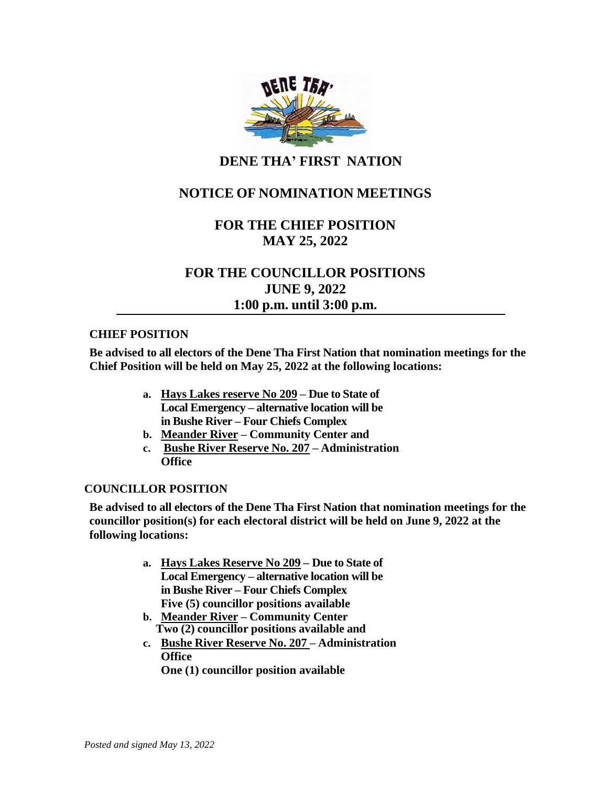

## **DENE THA' FIRST NATION**

# **NOTICE OF NOMINATION MEETINGS**

## **FOR THE CHIEF POSITION MAY 25, 2022**

# **FOR THE COUNCILLOR POSITIONS JUNE 9, 2022 1:00 p.m. until 3:00 p.m.**

#### **CHIEF POSITION**

**Be advised to all electors of the Dene Tha First Nation that nomination meetings for the Chief Position will be held on May 25, 2022 at the following locations:**

- **a. Hays Lakes reserve No 209 – Due to State of Local Emergency – alternative location will be in Bushe River – Four Chiefs Complex**
- **b. Meander River – Community Center and**
- **c. Bushe River Reserve No. 207 – Administration Office**

#### **COUNCILLOR POSITION**

**Be advised to all electors of the Dene Tha First Nation that nomination meetings for the councillor position(s) for each electoral district will be held on June 9, 2022 at the following locations:**

- **a. Hays Lakes Reserve No 209 – Due to State of Local Emergency – alternative location will be in Bushe River – Four Chiefs Complex Five (5) councillor positions available**
- **b. Meander River – Community Center Two (2) councillor positions available and**
- **c. Bushe River Reserve No. 207 – Administration Office**

**One (1) councillor position available**